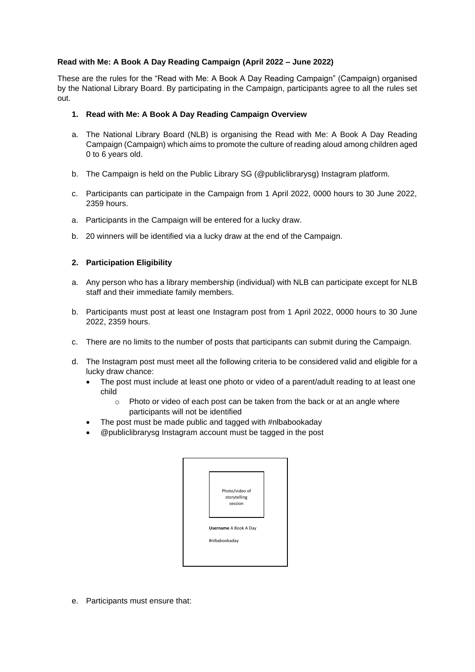# **Read with Me: A Book A Day Reading Campaign (April 2022 – June 2022)**

These are the rules for the "Read with Me: A Book A Day Reading Campaign" (Campaign) organised by the National Library Board. By participating in the Campaign, participants agree to all the rules set out.

### **1. Read with Me: A Book A Day Reading Campaign Overview**

- a. The National Library Board (NLB) is organising the Read with Me: A Book A Day Reading Campaign (Campaign) which aims to promote the culture of reading aloud among children aged 0 to 6 years old.
- b. The Campaign is held on the Public Library SG (@publiclibrarysg) Instagram platform.
- c. Participants can participate in the Campaign from 1 April 2022, 0000 hours to 30 June 2022, 2359 hours.
- a. Participants in the Campaign will be entered for a lucky draw.
- b. 20 winners will be identified via a lucky draw at the end of the Campaign.

### **2. Participation Eligibility**

- a. Any person who has a library membership (individual) with NLB can participate except for NLB staff and their immediate family members.
- b. Participants must post at least one Instagram post from 1 April 2022, 0000 hours to 30 June 2022, 2359 hours.
- c. There are no limits to the number of posts that participants can submit during the Campaign.
- d. The Instagram post must meet all the following criteria to be considered valid and eligible for a lucky draw chance:
	- The post must include at least one photo or video of a parent/adult reading to at least one child
		- o Photo or video of each post can be taken from the back or at an angle where participants will not be identified
	- The post must be made public and tagged with #nlbabookaday
	- @publiclibrarysg Instagram account must be tagged in the post



e. Participants must ensure that: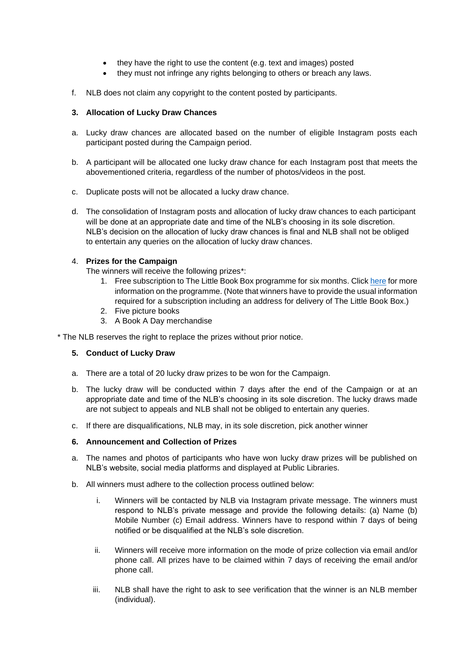- they have the right to use the content (e.g. text and images) posted
- they must not infringe any rights belonging to others or breach any laws.
- f. NLB does not claim any copyright to the content posted by participants.

## **3. Allocation of Lucky Draw Chances**

- a. Lucky draw chances are allocated based on the number of eligible Instagram posts each participant posted during the Campaign period.
- b. A participant will be allocated one lucky draw chance for each Instagram post that meets the abovementioned criteria, regardless of the number of photos/videos in the post.
- c. Duplicate posts will not be allocated a lucky draw chance.
- d. The consolidation of Instagram posts and allocation of lucky draw chances to each participant will be done at an appropriate date and time of the NLB's choosing in its sole discretion. NLB's decision on the allocation of lucky draw chances is final and NLB shall not be obliged to entertain any queries on the allocation of lucky draw chances.

# 4. **Prizes for the Campaign**

The winners will receive the following prizes\*:

- 1. Free subscription to The Little Book Box programme for six months. Click [here](https://www.nlb.gov.sg/NewsAnnouncement/tabid/225/announcementId/351/Default.aspx) for more information on the programme. (Note that winners have to provide the usual information required for a subscription including an address for delivery of The Little Book Box.)
- 2. Five picture books
- 3. A Book A Day merchandise

\* The NLB reserves the right to replace the prizes without prior notice.

### **5. Conduct of Lucky Draw**

- a. There are a total of 20 lucky draw prizes to be won for the Campaign.
- b. The lucky draw will be conducted within 7 days after the end of the Campaign or at an appropriate date and time of the NLB's choosing in its sole discretion. The lucky draws made are not subject to appeals and NLB shall not be obliged to entertain any queries.
- c. If there are disqualifications, NLB may, in its sole discretion, pick another winner

### **6. Announcement and Collection of Prizes**

- a. The names and photos of participants who have won lucky draw prizes will be published on NLB's website, social media platforms and displayed at Public Libraries.
- b. All winners must adhere to the collection process outlined below:
	- i. Winners will be contacted by NLB via Instagram private message. The winners must respond to NLB's private message and provide the following details: (a) Name (b) Mobile Number (c) Email address. Winners have to respond within 7 days of being notified or be disqualified at the NLB's sole discretion.
	- ii. Winners will receive more information on the mode of prize collection via email and/or phone call. All prizes have to be claimed within 7 days of receiving the email and/or phone call.
	- iii. NLB shall have the right to ask to see verification that the winner is an NLB member (individual).